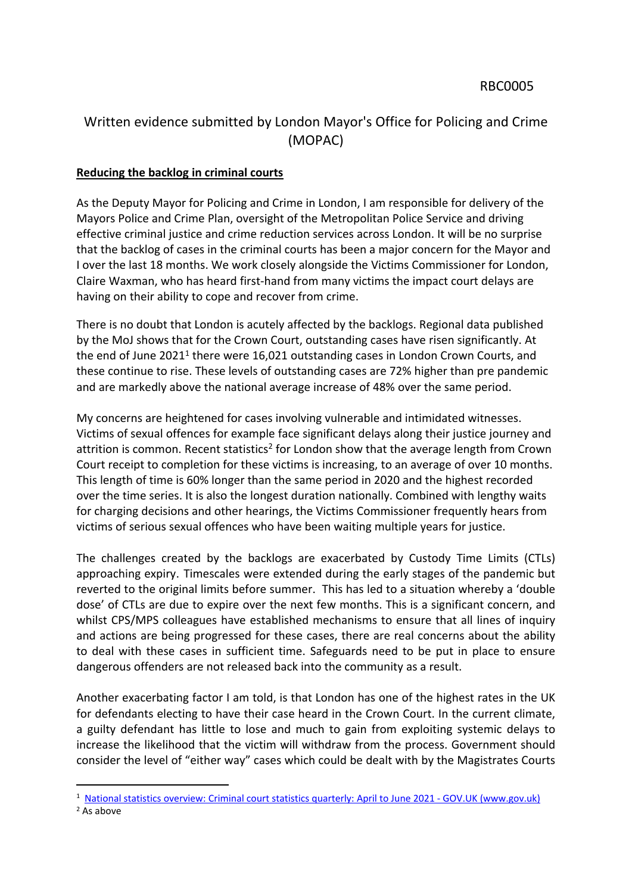## Written evidence submitted by London Mayor's Office for Policing and Crime (MOPAC)

## **Reducing the backlog in criminal courts**

As the Deputy Mayor for Policing and Crime in London, I am responsible for delivery of the Mayors Police and Crime Plan, oversight of the Metropolitan Police Service and driving effective criminal justice and crime reduction services across London. It will be no surprise that the backlog of cases in the criminal courts has been a major concern for the Mayor and I over the last 18 months. We work closely alongside the Victims Commissioner for London, Claire Waxman, who has heard first-hand from many victims the impact court delays are having on their ability to cope and recover from crime.

There is no doubt that London is acutely affected by the backlogs. Regional data published by the MoJ shows that for the Crown Court, outstanding cases have risen significantly. At the end of June 2021<sup>1</sup> there were 16,021 outstanding cases in London Crown Courts, and these continue to rise. These levels of outstanding cases are 72% higher than pre pandemic and are markedly above the national average increase of 48% over the same period.

My concerns are heightened for cases involving vulnerable and intimidated witnesses. Victims of sexual offences for example face significant delays along their justice journey and attrition is common. Recent statistics<sup>2</sup> for London show that the average length from Crown Court receipt to completion for these victims is increasing, to an average of over 10 months. This length of time is 60% longer than the same period in 2020 and the highest recorded over the time series. It is also the longest duration nationally. Combined with lengthy waits for charging decisions and other hearings, the Victims Commissioner frequently hears from victims of serious sexual offences who have been waiting multiple years for justice.

The challenges created by the backlogs are exacerbated by Custody Time Limits (CTLs) approaching expiry. Timescales were extended during the early stages of the pandemic but reverted to the original limits before summer. This has led to a situation whereby a 'double dose' of CTLs are due to expire over the next few months. This is a significant concern, and whilst CPS/MPS colleagues have established mechanisms to ensure that all lines of inquiry and actions are being progressed for these cases, there are real concerns about the ability to deal with these cases in sufficient time. Safeguards need to be put in place to ensure dangerous offenders are not released back into the community as a result.

Another exacerbating factor I am told, is that London has one of the highest rates in the UK for defendants electing to have their case heard in the Crown Court. In the current climate, a guilty defendant has little to lose and much to gain from exploiting systemic delays to increase the likelihood that the victim will withdraw from the process. Government should consider the level of "either way" cases which could be dealt with by the Magistrates Courts

<sup>&</sup>lt;sup>1</sup> [National](https://www.gov.uk/government/statistics/criminal-court-statistics-quarterly-april-to-june-2021) [statistics](https://www.gov.uk/government/statistics/criminal-court-statistics-quarterly-april-to-june-2021) [overview:](https://www.gov.uk/government/statistics/criminal-court-statistics-quarterly-april-to-june-2021) [Criminal](https://www.gov.uk/government/statistics/criminal-court-statistics-quarterly-april-to-june-2021) [court](https://www.gov.uk/government/statistics/criminal-court-statistics-quarterly-april-to-june-2021) statistics [quarterly:](https://www.gov.uk/government/statistics/criminal-court-statistics-quarterly-april-to-june-2021) [April](https://www.gov.uk/government/statistics/criminal-court-statistics-quarterly-april-to-june-2021) [to](https://www.gov.uk/government/statistics/criminal-court-statistics-quarterly-april-to-june-2021) [June](https://www.gov.uk/government/statistics/criminal-court-statistics-quarterly-april-to-june-2021) [2021](https://www.gov.uk/government/statistics/criminal-court-statistics-quarterly-april-to-june-2021) [-](https://www.gov.uk/government/statistics/criminal-court-statistics-quarterly-april-to-june-2021) [GOV.UK](https://www.gov.uk/government/statistics/criminal-court-statistics-quarterly-april-to-june-2021) [\(www.gov.uk\)](https://www.gov.uk/government/statistics/criminal-court-statistics-quarterly-april-to-june-2021)

<sup>2</sup> [As](https://www.gov.uk/government/statistics/criminal-court-statistics-quarterly-april-to-june-2021) above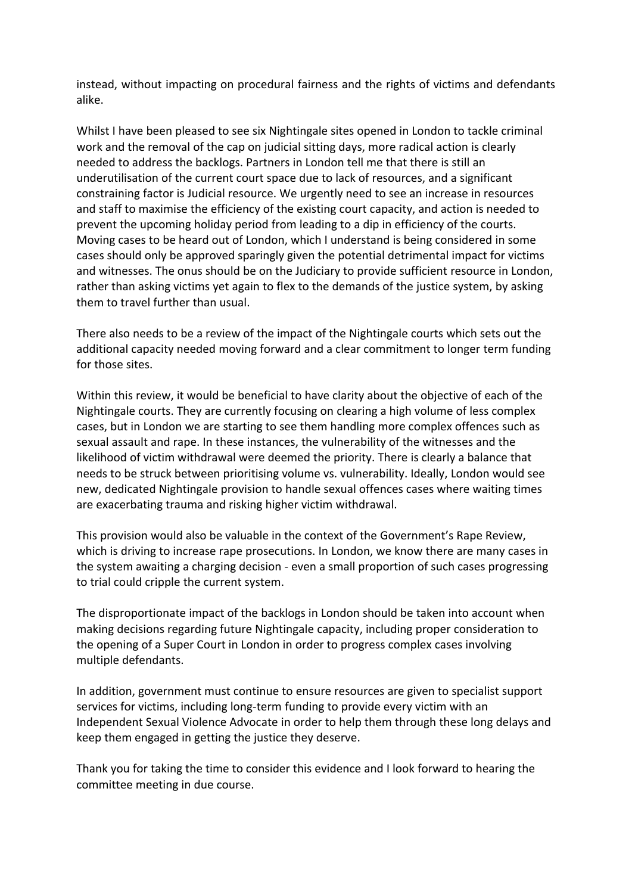instead, without impacting on procedural fairness and the rights of victims and defendants alike.

Whilst I have been pleased to see six Nightingale sites opened in London to tackle criminal work and the removal of the cap on judicial sitting days, more radical action is clearly needed to address the backlogs. Partners in London tell me that there is still an underutilisation of the current court space due to lack of resources, and a significant constraining factor is Judicial resource. We urgently need to see an increase in resources and staff to maximise the efficiency of the existing court capacity, and action is needed to prevent the upcoming holiday period from leading to a dip in efficiency of the courts. Moving cases to be heard out of London, which I understand is being considered in some cases should only be approved sparingly given the potential detrimental impact for victims and witnesses. The onus should be on the Judiciary to provide sufficient resource in London, rather than asking victims yet again to flex to the demands of the justice system, by asking them to travel further than usual.

There also needs to be a review of the impact of the Nightingale courts which sets out the additional capacity needed moving forward and a clear commitment to longer term funding for those sites.

Within this review, it would be beneficial to have clarity about the objective of each of the Nightingale courts. They are currently focusing on clearing a high volume of less complex cases, but in London we are starting to see them handling more complex offences such as sexual assault and rape. In these instances, the vulnerability of the witnesses and the likelihood of victim withdrawal were deemed the priority. There is clearly a balance that needs to be struck between prioritising volume vs. vulnerability. Ideally, London would see new, dedicated Nightingale provision to handle sexual offences cases where waiting times are exacerbating trauma and risking higher victim withdrawal.

This provision would also be valuable in the context of the Government's Rape Review, which is driving to increase rape prosecutions. In London, we know there are many cases in the system awaiting a charging decision - even a small proportion of such cases progressing to trial could cripple the current system.

The disproportionate impact of the backlogs in London should be taken into account when making decisions regarding future Nightingale capacity, including proper consideration to the opening of a Super Court in London in order to progress complex cases involving multiple defendants.

In addition, government must continue to ensure resources are given to specialist support services for victims, including long-term funding to provide every victim with an Independent Sexual Violence Advocate in order to help them through these long delays and keep them engaged in getting the justice they deserve.

Thank you for taking the time to consider this evidence and I look forward to hearing the committee meeting in due course.